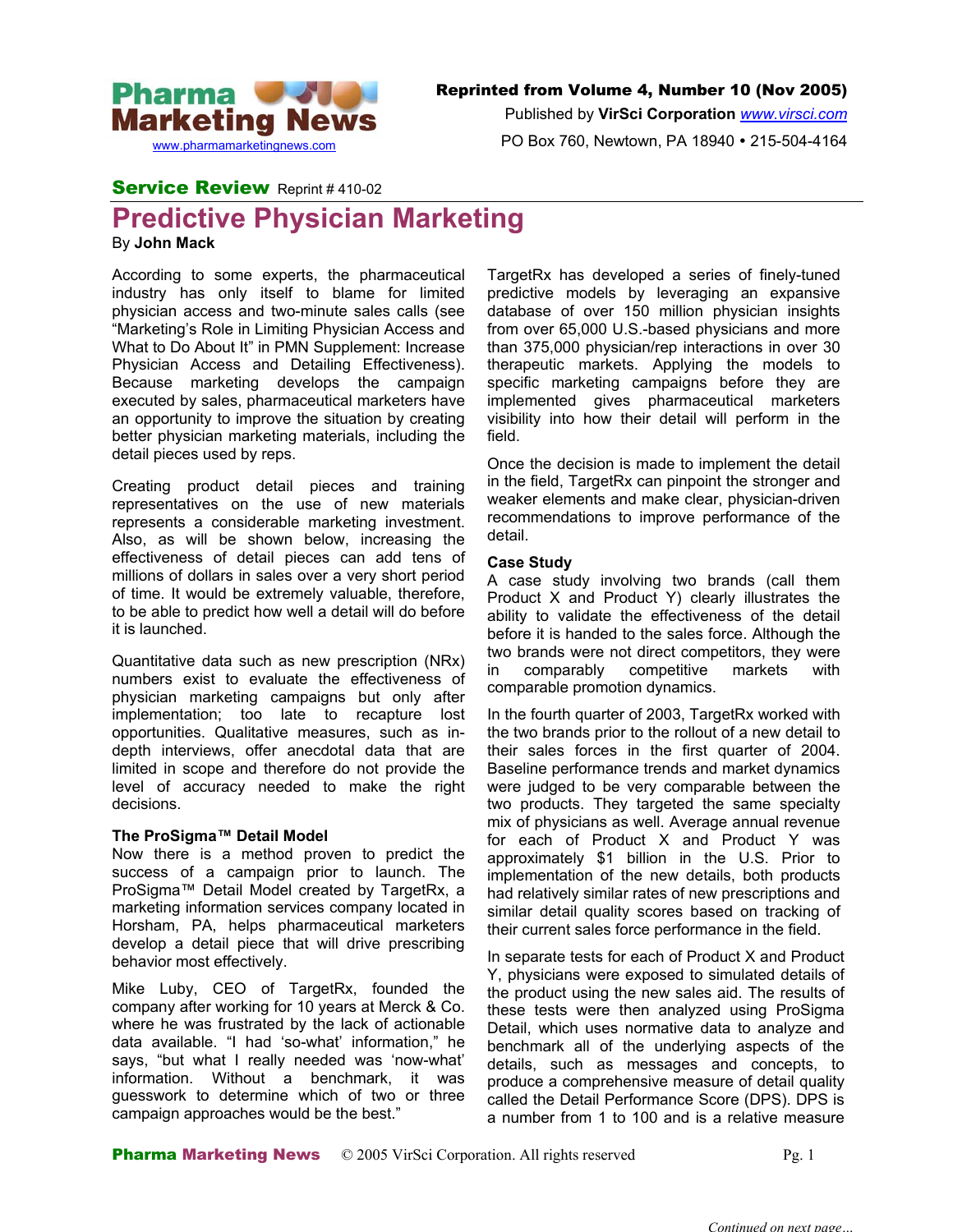

Published by **VirSci Corporation** *[www.virsci.com](http://www.virsci.com/)*

PO Box 760, Newtown, PA 18940 • 215-504-4164

# Service Review Reprint #410-02

# **Predictive Physician Marketing**

By **John Mack**

According to some experts, the pharmaceutical industry has only itself to blame for limited physician access and two-minute sales calls (see "Marketing's Role in Limiting Physician Access and What to Do About It" in PMN Supplement: Increase Physician Access and Detailing Effectiveness). Because marketing develops the campaign executed by sales, pharmaceutical marketers have an opportunity to improve the situation by creating better physician marketing materials, including the detail pieces used by reps. Once the decision is made to implement the detail

Creating product detail pieces and training representatives on the use of new materials represents a considerable marketing investment. Also, as will be shown below, increasing the effectiveness of detail pieces can add tens of millions of dollars in sales over a very short period of time. It would be extremely valuable, therefore, to be able to predict how well a detail will do before it is launched.

Quantitative data such as new prescription (NRx) numbers exist to evaluate the effectiveness of physician marketing campaigns but only after implementation; too late to recapture lost opportunities. Qualitative measures, such as indepth interviews, offer anecdotal data that are limited in scope and therefore do not provide the level of accuracy needed to make the right decisions.

## **The ProSigma™ Detail Model**

Now there is a method proven to predict the success of a campaign prior to launch. The ProSigma™ Detail Model created by TargetRx, a marketing information services company located in Horsham, PA, helps pharmaceutical marketers develop a detail piece that will drive prescribing behavior most effectively. In separate tests for each of Product X and Product

Mike Luby, CEO of TargetRx, founded the company after working for 10 years at Merck & Co. where he was frustrated by the lack of actionable data available. "I had 'so-what' information," he says, "but what I really needed was 'now-what' information. Without a benchmark, it was guesswork to determine which of two or three campaign approaches would be the best."

TargetRx has developed a series of finely-tuned predictive models by leveraging an expansive database of over 150 million physician insights from over 65,000 U.S.-based physicians and more than 375,000 physician/rep interactions in over 30 therapeutic markets. Applying the models to specific marketing campaigns before they are implemented gives pharmaceutical marketers visibility into how their detail will perform in the field.

in the field, TargetRx can pinpoint the stronger and weaker elements and make clear, physician-driven recommendations to improve performance of the detail.

## **Case Study**

A case study involving two brands (call them Product X and Product Y) clearly illustrates the ability to validate the effectiveness of the detail before it is handed to the sales force. Although the two brands were not direct competitors, they were in comparably competitive markets with comparable promotion dynamics.

In the fourth quarter of 2003, TargetRx worked with the two brands prior to the rollout of a new detail to their sales forces in the first quarter of 2004. Baseline performance trends and market dynamics were judged to be very comparable between the two products. They targeted the same specialty mix of physicians as well. Average annual revenue for each of Product X and Product Y was approximately \$1 billion in the U.S. Prior to implementation of the new details, both products had relatively similar rates of new prescriptions and similar detail quality scores based on tracking of their current sales force performance in the field.

Y, physicians were exposed to simulated details of the product using the new sales aid. The results of these tests were then analyzed using ProSigma Detail, which uses normative data to analyze and benchmark all of the underlying aspects of the details, such as messages and concepts, to produce a comprehensive measure of detail quality called the Detail Performance Score (DPS). DPS is a number from 1 to 100 and is a relative measure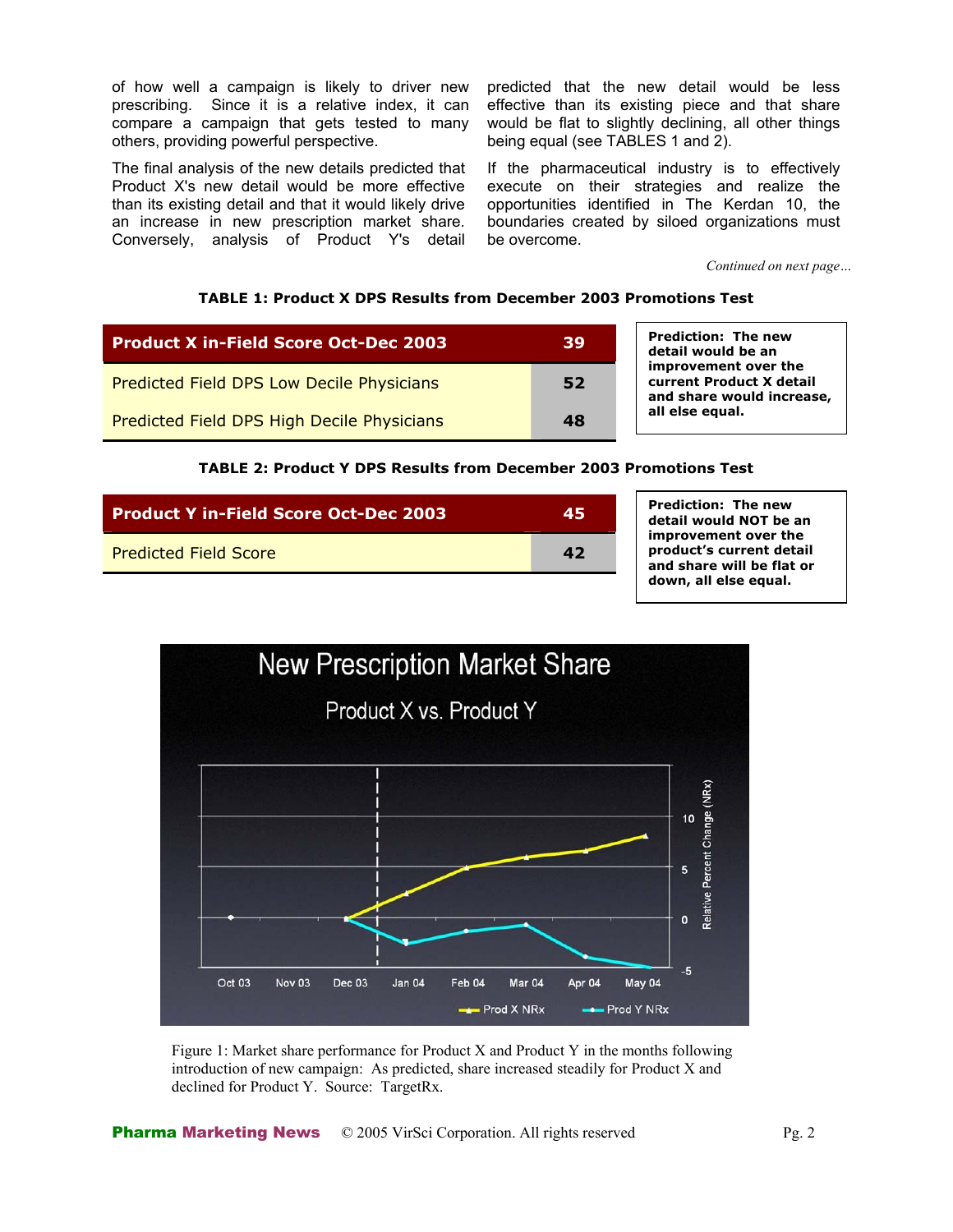of how well a campaign is likely to driver new prescribing. Since it is a relative index, it can compare a campaign that gets tested to many others, providing powerful perspective.

The final analysis of the new details predicted that Product X's new detail would be more effective than its existing detail and that it would likely drive an increase in new prescription market share. Conversely, analysis of Product Y's detail predicted that the new detail would be less effective than its existing piece and that share would be flat to slightly declining, all other things being equal (see TABLES 1 and 2).

If the pharmaceutical industry is to effectively execute on their strategies and realize the opportunities identified in The Kerdan 10, the boundaries created by siloed organizations must be overcome.

*Continued on next page…*

### **TABLE 1: Product X DPS Results from December 2003 Promotions Test**

| <b>Product X in-Field Score Oct-Dec 2003</b> | 39 |
|----------------------------------------------|----|
| Predicted Field DPS Low Decile Physicians    | 52 |
| Predicted Field DPS High Decile Physicians   | 48 |

**Prediction: The new detail would be an improvement over the current Product X detail and share would increas e, all else equal.** 

#### **TABLE 2: Product Y DPS Results from December 2003 Promotions Test**

| <b>Product Y in-Field Score Oct-Dec 2003</b> | 45 |
|----------------------------------------------|----|
| <b>Predicted Field Score</b>                 | 47 |

**Prediction: The new detail would NOT be an improvement over the product's current detail and share will be flat or down, all else equal.** 



Figure 1: Market share performance for Product X and Product Y in the months following introduction of new campaign: As predicted, share increased steadily for Product X and declined for Product Y. Source: TargetRx.